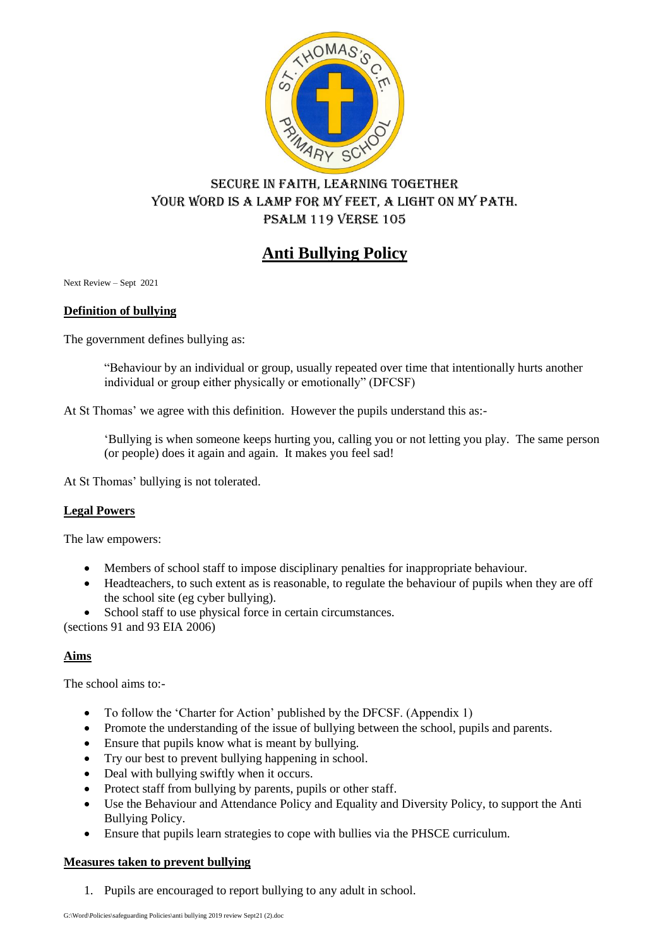

# Secure in faith, learning together Your word is a lamp for my feet, a light on my path. Psalm 119 verse 105

# **Anti Bullying Policy**

Next Review – Sept 2021

#### **Definition of bullying**

The government defines bullying as:

"Behaviour by an individual or group, usually repeated over time that intentionally hurts another individual or group either physically or emotionally" (DFCSF)

At St Thomas' we agree with this definition. However the pupils understand this as:-

'Bullying is when someone keeps hurting you, calling you or not letting you play. The same person (or people) does it again and again. It makes you feel sad!

At St Thomas' bullying is not tolerated.

#### **Legal Powers**

The law empowers:

- Members of school staff to impose disciplinary penalties for inappropriate behaviour.
- Headteachers, to such extent as is reasonable, to regulate the behaviour of pupils when they are off the school site (eg cyber bullying).
- School staff to use physical force in certain circumstances.

(sections 91 and 93 EIA 2006)

#### **Aims**

The school aims to:-

- To follow the 'Charter for Action' published by the DFCSF. (Appendix 1)
- Promote the understanding of the issue of bullying between the school, pupils and parents.
- Ensure that pupils know what is meant by bullying.
- Try our best to prevent bullying happening in school.
- Deal with bullying swiftly when it occurs.
- Protect staff from bullying by parents, pupils or other staff.
- Use the Behaviour and Attendance Policy and Equality and Diversity Policy, to support the Anti Bullying Policy.
- Ensure that pupils learn strategies to cope with bullies via the PHSCE curriculum.

#### **Measures taken to prevent bullying**

1. Pupils are encouraged to report bullying to any adult in school.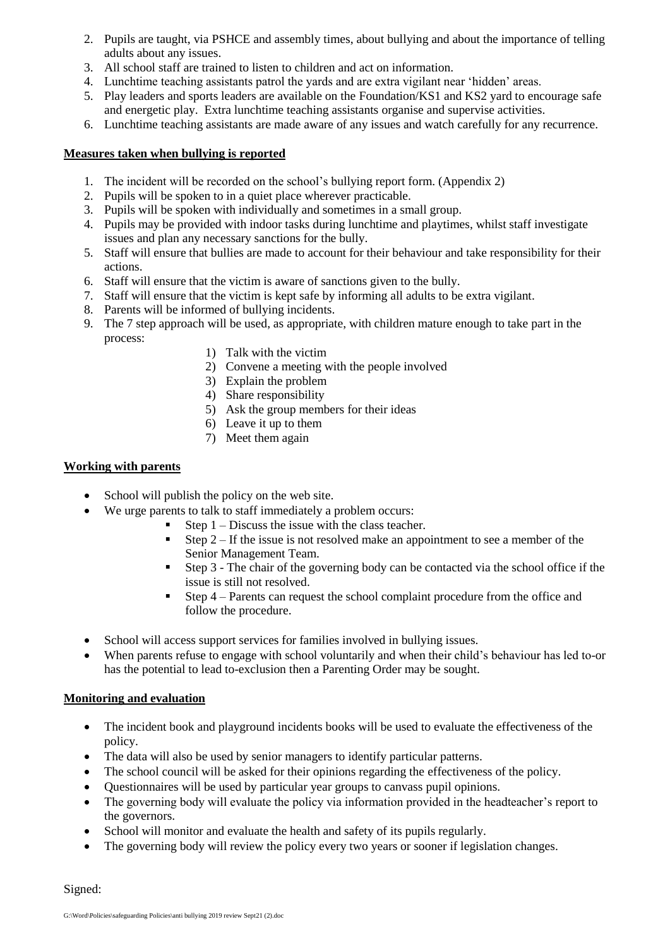- 2. Pupils are taught, via PSHCE and assembly times, about bullying and about the importance of telling adults about any issues.
- 3. All school staff are trained to listen to children and act on information.
- 4. Lunchtime teaching assistants patrol the yards and are extra vigilant near 'hidden' areas.
- 5. Play leaders and sports leaders are available on the Foundation/KS1 and KS2 yard to encourage safe and energetic play. Extra lunchtime teaching assistants organise and supervise activities.
- 6. Lunchtime teaching assistants are made aware of any issues and watch carefully for any recurrence.

#### **Measures taken when bullying is reported**

- 1. The incident will be recorded on the school's bullying report form. (Appendix 2)
- 2. Pupils will be spoken to in a quiet place wherever practicable.
- 3. Pupils will be spoken with individually and sometimes in a small group.
- 4. Pupils may be provided with indoor tasks during lunchtime and playtimes, whilst staff investigate issues and plan any necessary sanctions for the bully.
- 5. Staff will ensure that bullies are made to account for their behaviour and take responsibility for their actions.
- 6. Staff will ensure that the victim is aware of sanctions given to the bully.
- 7. Staff will ensure that the victim is kept safe by informing all adults to be extra vigilant.
- 8. Parents will be informed of bullying incidents.
- 9. The 7 step approach will be used, as appropriate, with children mature enough to take part in the process:
	- 1) Talk with the victim
	- 2) Convene a meeting with the people involved
	- 3) Explain the problem
	- 4) Share responsibility
	- 5) Ask the group members for their ideas
	- 6) Leave it up to them
	- 7) Meet them again

#### **Working with parents**

- School will publish the policy on the web site.
- We urge parents to talk to staff immediately a problem occurs:
	- Step 1 Discuss the issue with the class teacher.
		- Step  $2 If the issue is not resolved make an appointment to see a member of the$ Senior Management Team.
		- Step 3 The chair of the governing body can be contacted via the school office if the issue is still not resolved.
		- Step  $4$  Parents can request the school complaint procedure from the office and follow the procedure.
- School will access support services for families involved in bullying issues.
- When parents refuse to engage with school voluntarily and when their child's behaviour has led to-or has the potential to lead to-exclusion then a Parenting Order may be sought.

#### **Monitoring and evaluation**

- The incident book and playground incidents books will be used to evaluate the effectiveness of the policy.
- The data will also be used by senior managers to identify particular patterns.
- The school council will be asked for their opinions regarding the effectiveness of the policy.
- Questionnaires will be used by particular year groups to canvass pupil opinions.
- The governing body will evaluate the policy via information provided in the headteacher's report to the governors.
- School will monitor and evaluate the health and safety of its pupils regularly.
- The governing body will review the policy every two years or sooner if legislation changes.

Signed: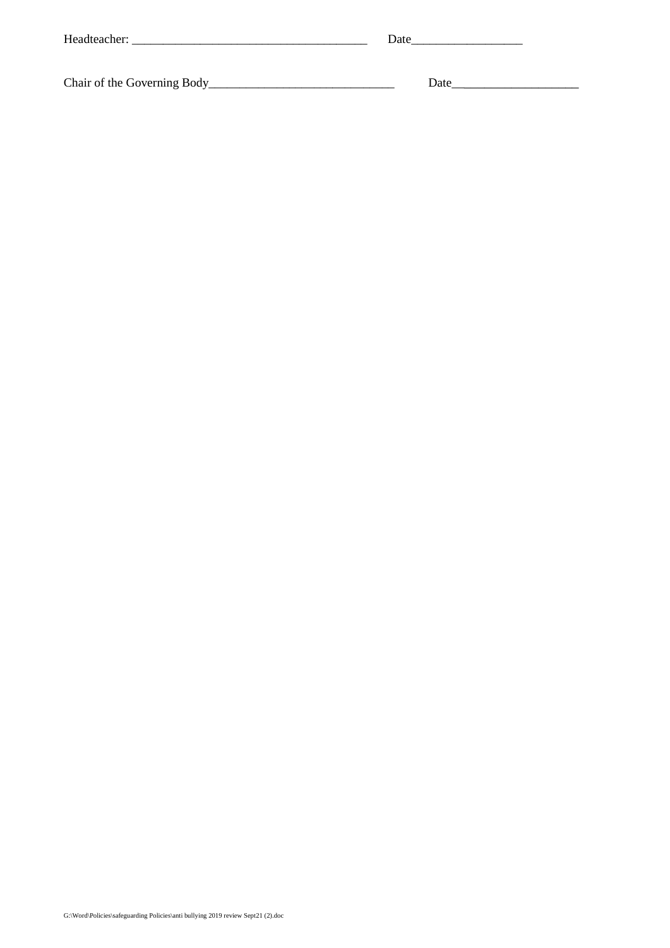| Headteacher: | Date |  |
|--------------|------|--|
|              |      |  |

Chair of the Governing Body\_\_\_\_\_\_\_\_\_\_\_\_\_\_\_\_\_\_\_\_\_\_\_\_\_\_\_\_\_\_ Date\_\_\_\_\_\_\_\_\_\_\_\_\_\_\_\_\_\_\_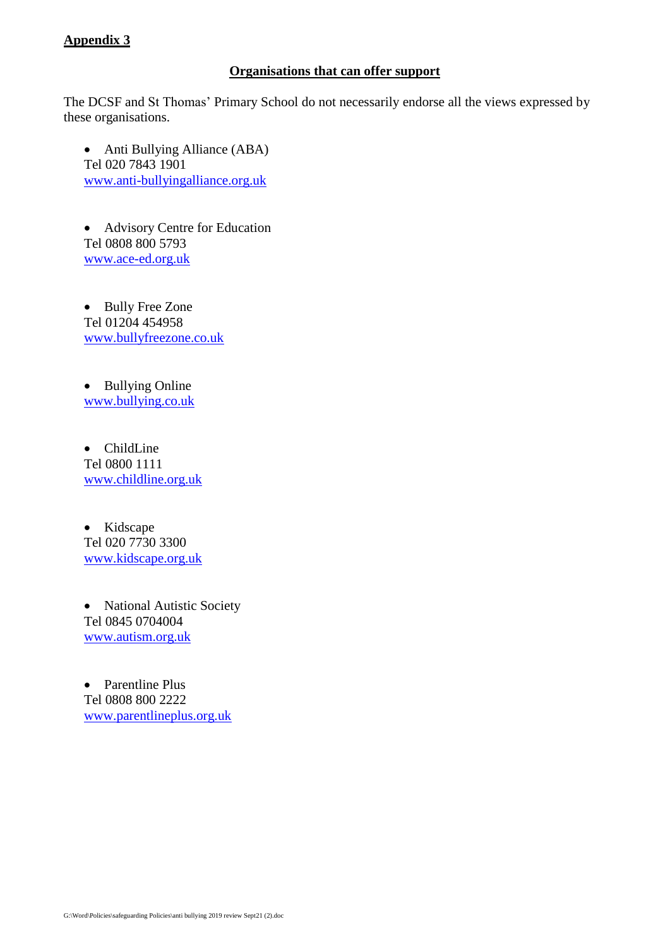#### **Appendix 3**

#### **Organisations that can offer support**

The DCSF and St Thomas' Primary School do not necessarily endorse all the views expressed by these organisations.

• Anti Bullying Alliance (ABA) Tel 020 7843 1901 [www.anti-bullyingalliance.org.uk](http://www.anti-bullyingalliance.org.uk/)

 Advisory Centre for Education Tel 0808 800 5793 [www.ace-ed.org.uk](http://www.ace-ed.org.uk/)

• Bully Free Zone Tel 01204 454958 [www.bullyfreezone.co.uk](http://www.bullyfreezone.co.uk/)

• Bullying Online [www.bullying.co.uk](http://www.bullying.co.uk/)

• ChildLine Tel 0800 1111 [www.childline.org.uk](http://www.childline.org.uk/)

• Kidscape Tel 020 7730 3300 [www.kidscape.org.uk](http://www.kidscape.org.uk/)

• National Autistic Society Tel 0845 0704004 [www.autism.org.uk](http://www.autism.org.uk/)

• Parentline Plus Tel 0808 800 2222 [www.parentlineplus.org.uk](http://www.parentlineplus.org.uk/)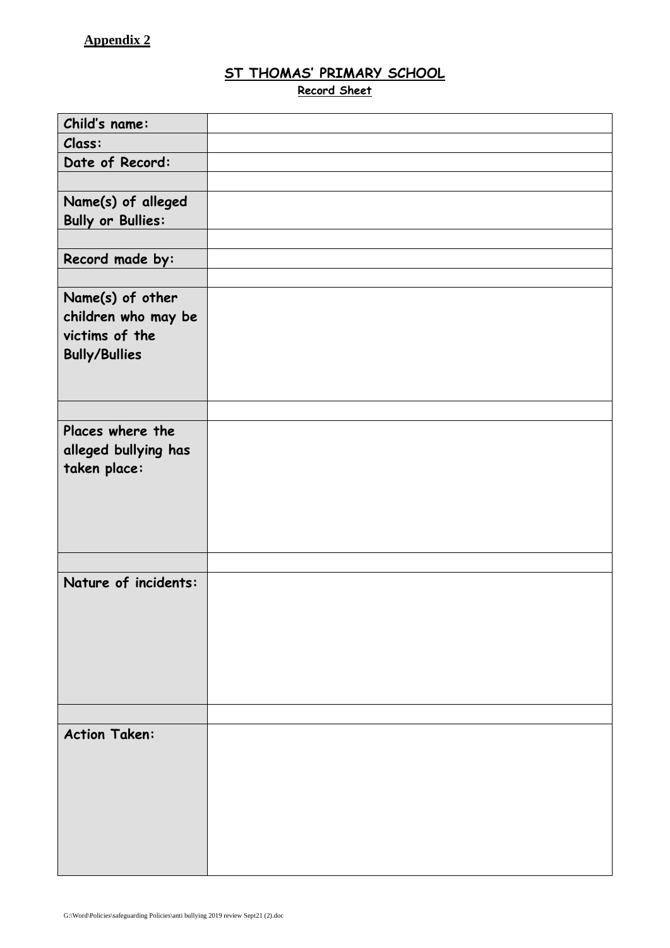# **ST THOMAS' PRIMARY SCHOOL**

**Record Sheet**

| Child's name:            |  |
|--------------------------|--|
| Class:                   |  |
| Date of Record:          |  |
|                          |  |
| Name(s) of alleged       |  |
| <b>Bully or Bullies:</b> |  |
|                          |  |
| Record made by:          |  |
|                          |  |
| Name(s) of other         |  |
| children who may be      |  |
| victims of the           |  |
| <b>Bully/Bullies</b>     |  |
|                          |  |
|                          |  |
| Places where the         |  |
| alleged bullying has     |  |
| taken place:             |  |
|                          |  |
|                          |  |
|                          |  |
|                          |  |
|                          |  |
| Nature of incidents:     |  |
|                          |  |
|                          |  |
|                          |  |
|                          |  |
|                          |  |
|                          |  |
| <b>Action Taken:</b>     |  |
|                          |  |
|                          |  |
|                          |  |
|                          |  |
|                          |  |
|                          |  |
|                          |  |